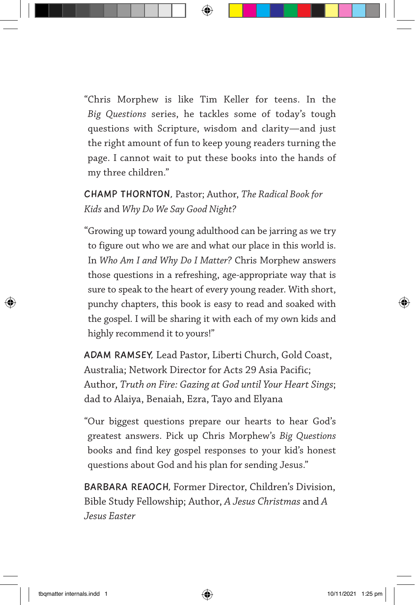"Chris Morphew is like Tim Keller for teens. In the *Big Questions* series, he tackles some of today's tough questions with Scripture, wisdom and clarity—and just the right amount of fun to keep young readers turning the page. I cannot wait to put these books into the hands of my three children."

CHAMP THORNTON, Pastor; Author, *The Radical Book for Kids* and *Why Do We Say Good Night?*

"Growing up toward young adulthood can be jarring as we try to figure out who we are and what our place in this world is. In *Who Am I and Why Do I Matter?* Chris Morphew answers those questions in a refreshing, age-appropriate way that is sure to speak to the heart of every young reader. With short, punchy chapters, this book is easy to read and soaked with the gospel. I will be sharing it with each of my own kids and highly recommend it to yours!"

ADAM RAMSEY, Lead Pastor, Liberti Church, Gold Coast, Australia; Network Director for Acts 29 Asia Pacific; Author, *Truth on Fire: Gazing at God until Your Heart Sings*; dad to Alaiya, Benaiah, Ezra, Tayo and Elyana

"Our biggest questions prepare our hearts to hear God's greatest answers. Pick up Chris Morphew's *Big Questions* books and find key gospel responses to your kid's honest questions about God and his plan for sending Jesus."

BARBARA REAOCH, Former Director, Children's Division, Bible Study Fellowship; Author, *A Jesus Christmas* and *A Jesus Easter*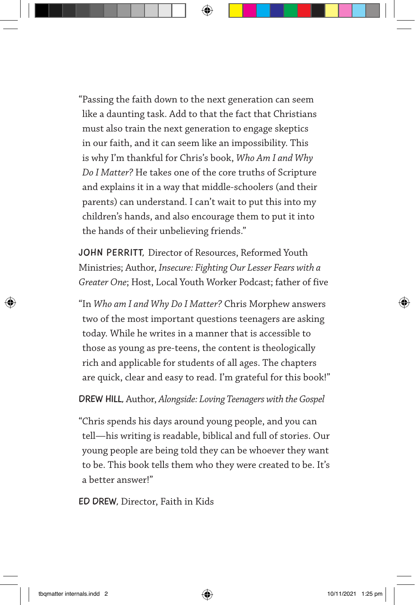"Passing the faith down to the next generation can seem like a daunting task. Add to that the fact that Christians must also train the next generation to engage skeptics in our faith, and it can seem like an impossibility. This is why I'm thankful for Chris's book, *Who Am I and Why Do I Matter?* He takes one of the core truths of Scripture and explains it in a way that middle-schoolers (and their parents) can understand. I can't wait to put this into my children's hands, and also encourage them to put it into the hands of their unbelieving friends."

JOHN PERRITT, Director of Resources, Reformed Youth Ministries; Author, *Insecure: Fighting Our Lesser Fears with a Greater One*; Host, Local Youth Worker Podcast; father of five

"In *Who am I and Why Do I Matter?* Chris Morphew answers two of the most important questions teenagers are asking today. While he writes in a manner that is accessible to those as young as pre-teens, the content is theologically rich and applicable for students of all ages. The chapters are quick, clear and easy to read. I'm grateful for this book!"

#### DREW HILL, Author, *Alongside: Loving Teenagers with the Gospel*

"Chris spends his days around young people, and you can tell—his writing is readable, biblical and full of stories. Our young people are being told they can be whoever they want to be. This book tells them who they were created to be. It's a better answer!"

#### ED DREW, Director, Faith in Kids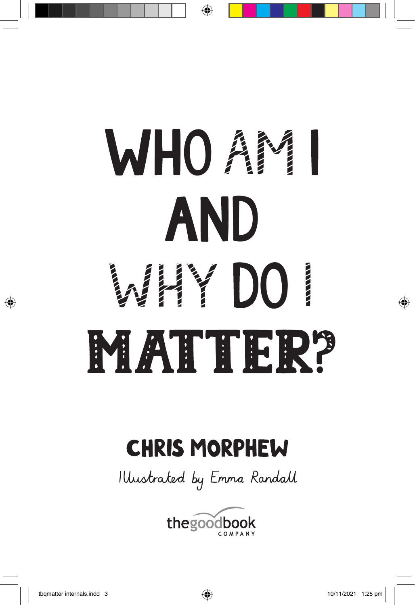# WHO AMI **AND** WHY DO MATTER?

# **CHRIS MORPHEW**

Illustrated by Emma Randall

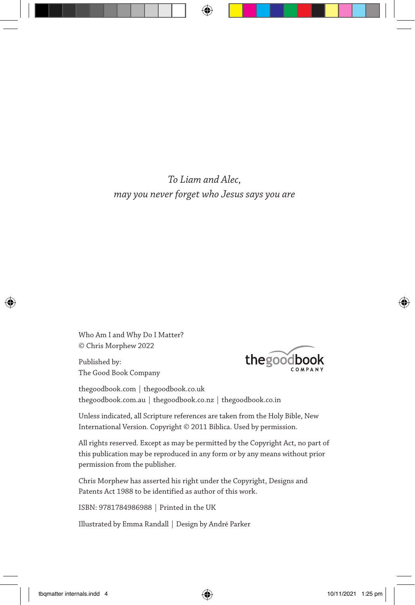*To Liam and Alec, may you never forget who Jesus says you are*

Who Am I and Why Do I Matter? © Chris Morphew 2022

Published by: The Good Book Company



thegoodbook.com | thegoodbook.co.uk thegoodbook.com.au | thegoodbook.co.nz | thegoodbook.co.in

Unless indicated, all Scripture references are taken from the Holy Bible, New International Version. Copyright © 2011 Biblica. Used by permission.

All rights reserved. Except as may be permitted by the Copyright Act, no part of this publication may be reproduced in any form or by any means without prior permission from the publisher.

Chris Morphew has asserted his right under the Copyright, Designs and Patents Act 1988 to be identified as author of this work.

ISBN: 9781784986988 | Printed in the UK

Illustrated by Emma Randall | Design by André Parker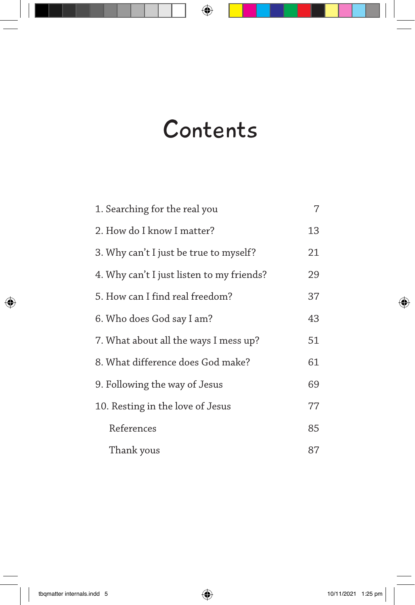## Contents

| 1. Searching for the real you             | 7  |
|-------------------------------------------|----|
| 2. How do I know I matter?                | 13 |
| 3. Why can't I just be true to myself?    | 21 |
| 4. Why can't I just listen to my friends? | 29 |
| 5. How can I find real freedom?           | 37 |
| 6. Who does God say I am?                 | 43 |
| 7. What about all the ways I mess up?     | 51 |
| 8. What difference does God make?         | 61 |
| 9. Following the way of Jesus             | 69 |
| 10. Resting in the love of Jesus          | 77 |
| References                                | 85 |
| Thank yous                                | 87 |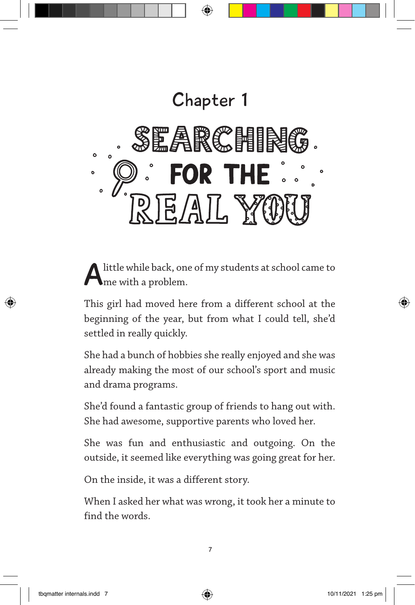

A little while back, one of my students at school came to me with a problem.

This girl had moved here from a different school at the beginning of the year, but from what I could tell, she'd settled in really quickly.

She had a bunch of hobbies she really enjoyed and she was already making the most of our school's sport and music and drama programs.

She'd found a fantastic group of friends to hang out with. She had awesome, supportive parents who loved her.

She was fun and enthusiastic and outgoing. On the outside, it seemed like everything was going great for her.

On the inside, it was a different story.

When I asked her what was wrong, it took her a minute to find the words.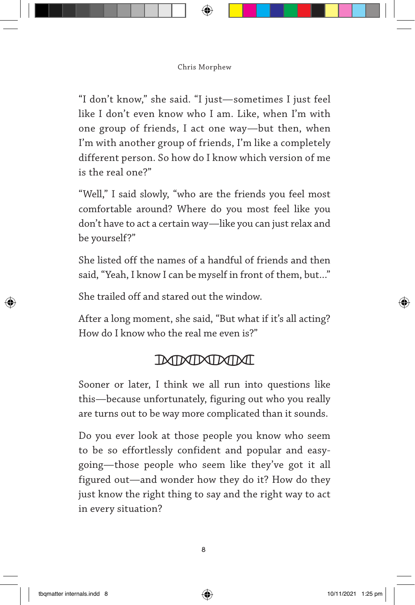"I don't know," she said. "I just—sometimes I just feel like I don't even know who I am. Like, when I'm with one group of friends, I act one way—but then, when I'm with another group of friends, I'm like a completely different person. So how do I know which version of me is the real one?"

"Well," I said slowly, "who are the friends you feel most comfortable around? Where do you most feel like you don't have to act a certain way—like you can just relax and be yourself?"

She listed off the names of a handful of friends and then said, "Yeah, I know I can be myself in front of them, but..."

She trailed off and stared out the window.

After a long moment, she said, "But what if it's all acting? How do I know who the real me even is?"

## **DADADADADA**

Sooner or later, I think we all run into questions like this—because unfortunately, figuring out who you really are turns out to be way more complicated than it sounds.

Do you ever look at those people you know who seem to be so effortlessly confident and popular and easygoing—those people who seem like they've got it all figured out—and wonder how they do it? How do they just know the right thing to say and the right way to act in every situation?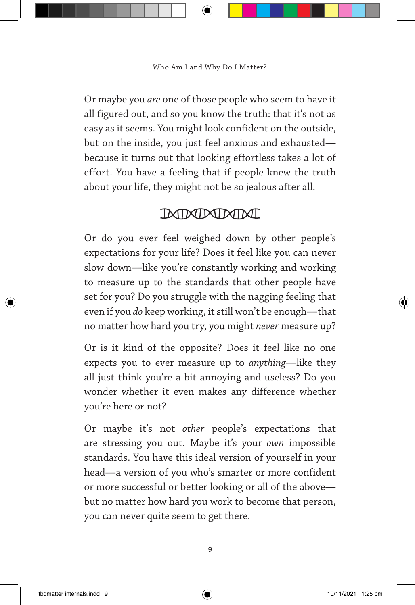Or maybe you *are* one of those people who seem to have it all figured out, and so you know the truth: that it's not as easy as it seems. You might look confident on the outside, but on the inside, you just feel anxious and exhausted because it turns out that looking effortless takes a lot of effort. You have a feeling that if people knew the truth about your life, they might not be so jealous after all.

### **DATIMUMUMIMI**

Or do you ever feel weighed down by other people's expectations for your life? Does it feel like you can never slow down—like you're constantly working and working to measure up to the standards that other people have set for you? Do you struggle with the nagging feeling that even if you *do* keep working, it still won't be enough—that no matter how hard you try, you might *never* measure up?

Or is it kind of the opposite? Does it feel like no one expects you to ever measure up to *anything*—like they all just think you're a bit annoying and useless? Do you wonder whether it even makes any difference whether you're here or not?

Or maybe it's not *other* people's expectations that are stressing you out. Maybe it's your *own* impossible standards. You have this ideal version of yourself in your head—a version of you who's smarter or more confident or more successful or better looking or all of the above but no matter how hard you work to become that person, you can never quite seem to get there.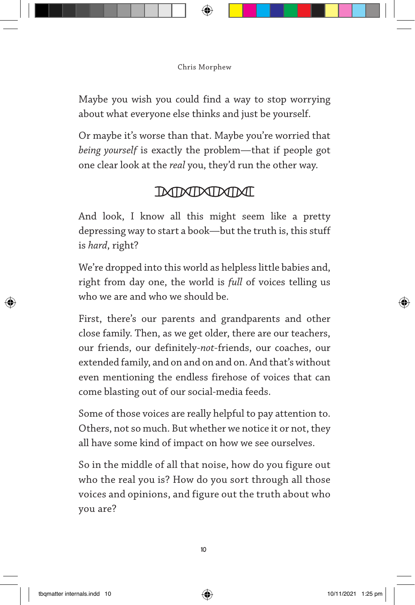Maybe you wish you could find a way to stop worrying about what everyone else thinks and just be yourself.

Or maybe it's worse than that. Maybe you're worried that *being yourself* is exactly the problem—that if people got one clear look at the *real* you, they'd run the other way.

## **IMMINIMMINI**

And look, I know all this might seem like a pretty depressing way to start a book—but the truth is, this stuff is *hard*, right?

We're dropped into this world as helpless little babies and, right from day one, the world is *full* of voices telling us who we are and who we should be.

First, there's our parents and grandparents and other close family. Then, as we get older, there are our teachers, our friends, our definitely-*not*-friends, our coaches, our extended family, and on and on and on. And that's without even mentioning the endless firehose of voices that can come blasting out of our social-media feeds.

Some of those voices are really helpful to pay attention to. Others, not so much. But whether we notice it or not, they all have some kind of impact on how we see ourselves.

So in the middle of all that noise, how do you figure out who the real you is? How do you sort through all those voices and opinions, and figure out the truth about who you are?